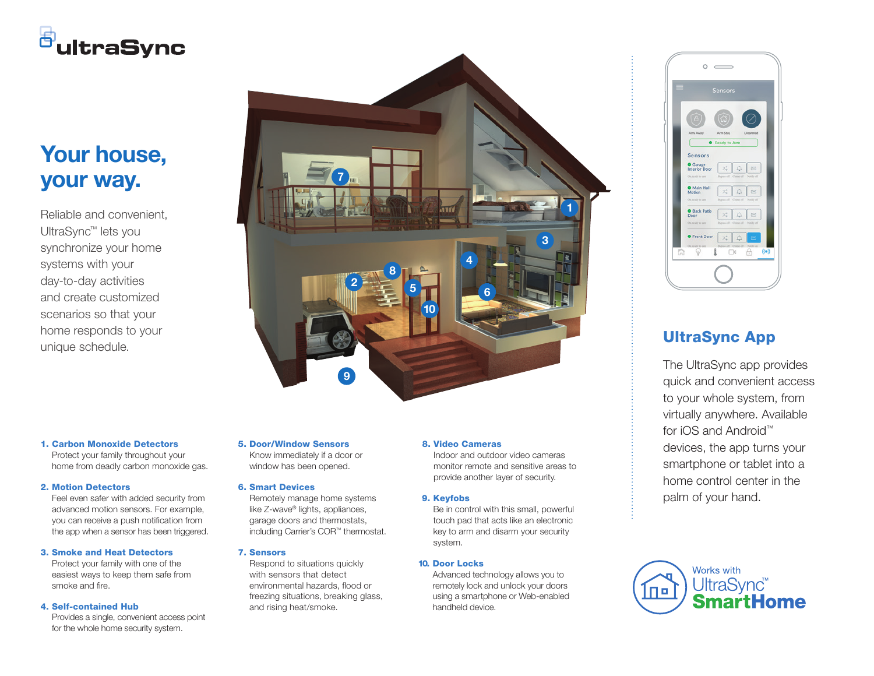# <sup>5</sup>ultraSync

## Your house, your way.

Reliable and convenient, UltraSync™ lets you synchronize your home systems with your day-to-day activities and create customized scenarios so that your home responds to your



#### 1. Carbon Monoxide Detectors

Protect your family throughout your home from deadly carbon monoxide gas.

#### 2. Motion Detectors

Feel even safer with added security from advanced motion sensors. For example, you can receive a push notification from the app when a sensor has been triggered.

#### 3. Smoke and Heat Detectors

Protect your family with one of the easiest ways to keep them safe from smoke and fire.

#### 4. Self-contained Hub

Provides a single, convenient access point for the whole home security system.

#### 5. Door/Window Sensors

Know immediately if a door or window has been opened.

#### 6. Smart Devices

Remotely manage home systems like Z-wave® lights, appliances, garage doors and thermostats, including Carrier's COR™ thermostat.

### 7. Sensors

Respond to situations quickly with sensors that detect environmental hazards, flood or freezing situations, breaking glass, and rising heat/smoke.

#### 8. Video Cameras

Indoor and outdoor video cameras monitor remote and sensitive areas to provide another layer of security.

#### 9. Keyfobs

Be in control with this small, powerful touch pad that acts like an electronic key to arm and disarm your security system.

### 10. Door Locks

Advanced technology allows you to remotely lock and unlock your doors using a smartphone or Web-enabled handheld device.



The UltraSync app provides quick and convenient access to your whole system, from virtually anywhere. Available for iOS and Android™ devices, the app turns your smartphone or tablet into a home control center in the palm of your hand.